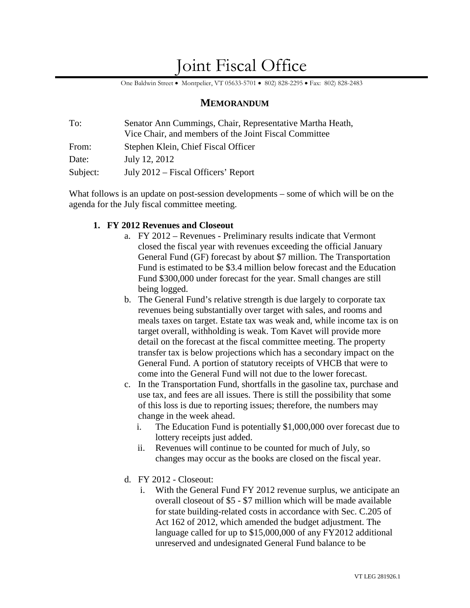# Joint Fiscal Office

One Baldwin Street • Montpelier, VT 05633-5701 • 802) 828-2295 • Fax: 802) 828-2483

### **MEMORANDUM**

| To:      | Senator Ann Cummings, Chair, Representative Martha Heath, |  |
|----------|-----------------------------------------------------------|--|
|          | Vice Chair, and members of the Joint Fiscal Committee     |  |
| From:    | Stephen Klein, Chief Fiscal Officer                       |  |
| Date:    | July 12, 2012                                             |  |
| Subject: | July 2012 – Fiscal Officers' Report                       |  |

What follows is an update on post-session developments – some of which will be on the agenda for the July fiscal committee meeting.

#### **1. FY 2012 Revenues and Closeout**

- a. FY 2012 Revenues Preliminary results indicate that Vermont closed the fiscal year with revenues exceeding the official January General Fund (GF) forecast by about \$7 million. The Transportation Fund is estimated to be \$3.4 million below forecast and the Education Fund \$300,000 under forecast for the year. Small changes are still being logged.
- b. The General Fund's relative strength is due largely to corporate tax revenues being substantially over target with sales, and rooms and meals taxes on target. Estate tax was weak and, while income tax is on target overall, withholding is weak. Tom Kavet will provide more detail on the forecast at the fiscal committee meeting. The property transfer tax is below projections which has a secondary impact on the General Fund. A portion of statutory receipts of VHCB that were to come into the General Fund will not due to the lower forecast.
- c. In the Transportation Fund, shortfalls in the gasoline tax, purchase and use tax, and fees are all issues. There is still the possibility that some of this loss is due to reporting issues; therefore, the numbers may change in the week ahead.
	- i. The Education Fund is potentially \$1,000,000 over forecast due to lottery receipts just added.
	- ii. Revenues will continue to be counted for much of July, so changes may occur as the books are closed on the fiscal year.
- d. FY 2012 Closeout:
	- i. With the General Fund FY 2012 revenue surplus, we anticipate an overall closeout of \$5 - \$7 million which will be made available for state building-related costs in accordance with Sec. C.205 of Act 162 of 2012, which amended the budget adjustment. The language called for up to \$15,000,000 of any FY2012 additional unreserved and undesignated General Fund balance to be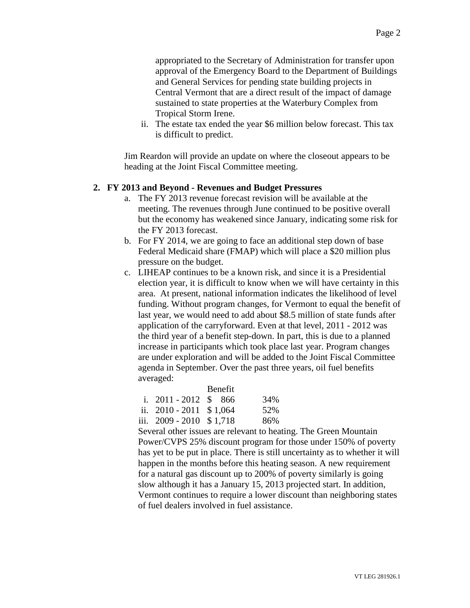appropriated to the Secretary of Administration for transfer upon approval of the Emergency Board to the Department of Buildings and General Services for pending state building projects in Central Vermont that are a direct result of the impact of damage sustained to state properties at the Waterbury Complex from Tropical Storm Irene.

ii. The estate tax ended the year \$6 million below forecast. This tax is difficult to predict.

Jim Reardon will provide an update on where the closeout appears to be heading at the Joint Fiscal Committee meeting.

#### **2. FY 2013 and Beyond - Revenues and Budget Pressures**

- a. The FY 2013 revenue forecast revision will be available at the meeting. The revenues through June continued to be positive overall but the economy has weakened since January, indicating some risk for the FY 2013 forecast.
- b. For FY 2014, we are going to face an additional step down of base Federal Medicaid share (FMAP) which will place a \$20 million plus pressure on the budget.
- c. LIHEAP continues to be a known risk, and since it is a Presidential election year, it is difficult to know when we will have certainty in this area. At present, national information indicates the likelihood of level funding. Without program changes, for Vermont to equal the benefit of last year, we would need to add about \$8.5 million of state funds after application of the carryforward. Even at that level, 2011 - 2012 was the third year of a benefit step-down. In part, this is due to a planned increase in participants which took place last year. Program changes are under exploration and will be added to the Joint Fiscal Committee agenda in September. Over the past three years, oil fuel benefits averaged:

|                           | <b>Benefit</b> |     |
|---------------------------|----------------|-----|
| i. $2011 - 2012$ \$ 866   |                | 34% |
| ii. $2010 - 2011$ \$1,064 |                | 52% |
| iii. 2009 - 2010 \$1,718  |                | 86% |

Several other issues are relevant to heating. The Green Mountain Power/CVPS 25% discount program for those under 150% of poverty has yet to be put in place. There is still uncertainty as to whether it will happen in the months before this heating season. A new requirement for a natural gas discount up to 200% of poverty similarly is going slow although it has a January 15, 2013 projected start. In addition, Vermont continues to require a lower discount than neighboring states of fuel dealers involved in fuel assistance.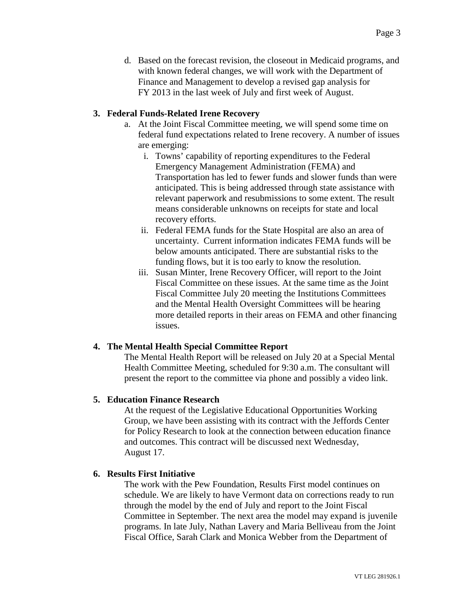d. Based on the forecast revision, the closeout in Medicaid programs, and with known federal changes, we will work with the Department of Finance and Management to develop a revised gap analysis for FY 2013 in the last week of July and first week of August.

#### **3. Federal Funds-Related Irene Recovery**

- a. At the Joint Fiscal Committee meeting, we will spend some time on federal fund expectations related to Irene recovery. A number of issues are emerging:
	- i. Towns' capability of reporting expenditures to the Federal Emergency Management Administration (FEMA) and Transportation has led to fewer funds and slower funds than were anticipated. This is being addressed through state assistance with relevant paperwork and resubmissions to some extent. The result means considerable unknowns on receipts for state and local recovery efforts.
	- ii. Federal FEMA funds for the State Hospital are also an area of uncertainty. Current information indicates FEMA funds will be below amounts anticipated. There are substantial risks to the funding flows, but it is too early to know the resolution.
	- iii. Susan Minter, Irene Recovery Officer, will report to the Joint Fiscal Committee on these issues. At the same time as the Joint Fiscal Committee July 20 meeting the Institutions Committees and the Mental Health Oversight Committees will be hearing more detailed reports in their areas on FEMA and other financing issues.

### **4. The Mental Health Special Committee Report**

The Mental Health Report will be released on July 20 at a Special Mental Health Committee Meeting, scheduled for 9:30 a.m. The consultant will present the report to the committee via phone and possibly a video link.

### **5. Education Finance Research**

At the request of the Legislative Educational Opportunities Working Group, we have been assisting with its contract with the Jeffords Center for Policy Research to look at the connection between education finance and outcomes. This contract will be discussed next Wednesday, August 17.

#### **6. Results First Initiative**

The work with the Pew Foundation, Results First model continues on schedule. We are likely to have Vermont data on corrections ready to run through the model by the end of July and report to the Joint Fiscal Committee in September. The next area the model may expand is juvenile programs. In late July, Nathan Lavery and Maria Belliveau from the Joint Fiscal Office, Sarah Clark and Monica Webber from the Department of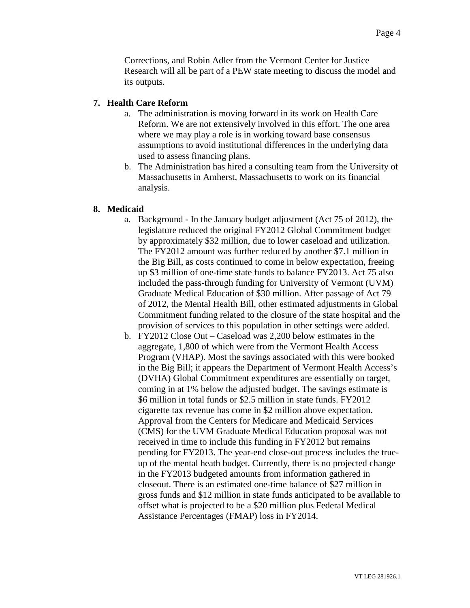Corrections, and Robin Adler from the Vermont Center for Justice Research will all be part of a PEW state meeting to discuss the model and its outputs.

#### **7. Health Care Reform**

- a. The administration is moving forward in its work on Health Care Reform. We are not extensively involved in this effort. The one area where we may play a role is in working toward base consensus assumptions to avoid institutional differences in the underlying data used to assess financing plans.
- b. The Administration has hired a consulting team from the University of Massachusetts in Amherst, Massachusetts to work on its financial analysis.

#### **8. Medicaid**

- a. Background In the January budget adjustment (Act 75 of 2012), the legislature reduced the original FY2012 Global Commitment budget by approximately \$32 million, due to lower caseload and utilization. The FY2012 amount was further reduced by another \$7.1 million in the Big Bill, as costs continued to come in below expectation, freeing up \$3 million of one-time state funds to balance FY2013. Act 75 also included the pass-through funding for University of Vermont (UVM) Graduate Medical Education of \$30 million. After passage of Act 79 of 2012, the Mental Health Bill, other estimated adjustments in Global Commitment funding related to the closure of the state hospital and the provision of services to this population in other settings were added.
- b. FY2012 Close Out Caseload was 2,200 below estimates in the aggregate, 1,800 of which were from the Vermont Health Access Program (VHAP). Most the savings associated with this were booked in the Big Bill; it appears the Department of Vermont Health Access's (DVHA) Global Commitment expenditures are essentially on target, coming in at 1% below the adjusted budget. The savings estimate is \$6 million in total funds or \$2.5 million in state funds. FY2012 cigarette tax revenue has come in \$2 million above expectation. Approval from the Centers for Medicare and Medicaid Services (CMS) for the UVM Graduate Medical Education proposal was not received in time to include this funding in FY2012 but remains pending for FY2013. The year-end close-out process includes the trueup of the mental heath budget. Currently, there is no projected change in the FY2013 budgeted amounts from information gathered in closeout. There is an estimated one-time balance of \$27 million in gross funds and \$12 million in state funds anticipated to be available to offset what is projected to be a \$20 million plus Federal Medical Assistance Percentages (FMAP) loss in FY2014.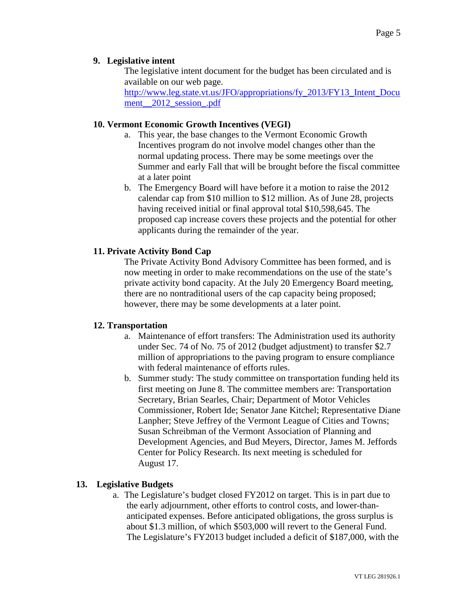## **9. Legislative intent**

The legislative intent document for the budget has been circulated and is available on our web page.

[http://www.leg.state.vt.us/JFO/appropriations/fy\\_2013/FY13\\_Intent\\_Docu](http://www.leg.state.vt.us/JFO/appropriations/fy_2013/FY13_Intent_Document__2012_session_.pdf) ment 2012 session .pdf

## **10. Vermont Economic Growth Incentives (VEGI)**

- a. This year, the base changes to the Vermont Economic Growth Incentives program do not involve model changes other than the normal updating process. There may be some meetings over the Summer and early Fall that will be brought before the fiscal committee at a later point
- b. The Emergency Board will have before it a motion to raise the 2012 calendar cap from \$10 million to \$12 million. As of June 28, projects having received initial or final approval total \$10,598,645. The proposed cap increase covers these projects and the potential for other applicants during the remainder of the year.

## **11. Private Activity Bond Cap**

The Private Activity Bond Advisory Committee has been formed, and is now meeting in order to make recommendations on the use of the state's private activity bond capacity. At the July 20 Emergency Board meeting, there are no nontraditional users of the cap capacity being proposed; however, there may be some developments at a later point.

## **12. Transportation**

- a. Maintenance of effort transfers: The Administration used its authority under Sec. 74 of No. 75 of 2012 (budget adjustment) to transfer \$2.7 million of appropriations to the paving program to ensure compliance with federal maintenance of efforts rules.
- b. Summer study: The study committee on transportation funding held its first meeting on June 8. The committee members are: Transportation Secretary, Brian Searles, Chair; Department of Motor Vehicles Commissioner, Robert Ide; Senator Jane Kitchel; Representative Diane Lanpher; Steve Jeffrey of the Vermont League of Cities and Towns; Susan Schreibman of the Vermont Association of Planning and Development Agencies, and Bud Meyers, Director, James M. Jeffords Center for Policy Research. Its next meeting is scheduled for August 17.

## **13. Legislative Budgets**

a. The Legislature's budget closed FY2012 on target. This is in part due to the early adjournment, other efforts to control costs, and lower-thananticipated expenses. Before anticipated obligations, the gross surplus is about \$1.3 million, of which \$503,000 will revert to the General Fund. The Legislature's FY2013 budget included a deficit of \$187,000, with the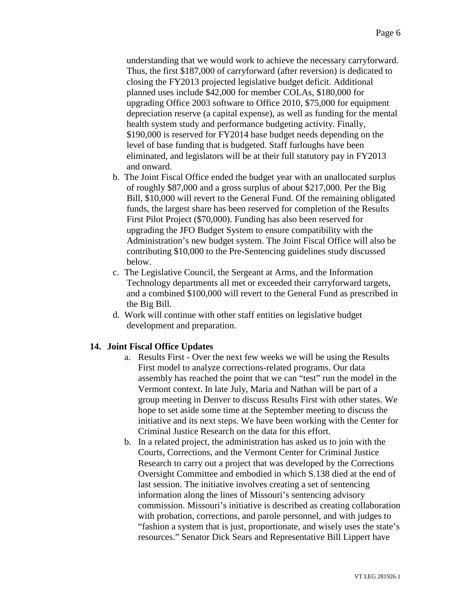understanding that we would work to achieve the necessary carryforward. Thus, the first \$187,000 of carryforward (after reversion) is dedicated to closing the FY2013 projected legislative budget deficit. Additional planned uses include \$42,000 for member COLAs, \$180,000 for upgrading Office 2003 software to Office 2010, \$75,000 for equipment depreciation reserve (a capital expense), as well as funding for the mental health system study and performance budgeting activity. Finally, \$190,000 is reserved for FY2014 base budget needs depending on the level of base funding that is budgeted. Staff furloughs have been eliminated, and legislators will be at their full statutory pay in FY2013 and onward.

- b. The Joint Fiscal Office ended the budget year with an unallocated surplus of roughly \$87,000 and a gross surplus of about \$217,000. Per the Big Bill, \$10,000 will revert to the General Fund. Of the remaining obligated funds, the largest share has been reserved for completion of the Results First Pilot Project (\$70,000). Funding has also been reserved for upgrading the JFO Budget System to ensure compatibility with the Administration's new budget system. The Joint Fiscal Office will also be contributing \$10,000 to the Pre-Sentencing guidelines study discussed below.
- c. The Legislative Council, the Sergeant at Arms, and the Information Technology departments all met or exceeded their carryforward targets, and a combined \$100,000 will revert to the General Fund as prescribed in the Big Bill.
- d. Work will continue with other staff entities on legislative budget development and preparation.

### **14. Joint Fiscal Office Updates**

- a. Results First Over the next few weeks we will be using the Results First model to analyze corrections-related programs. Our data assembly has reached the point that we can "test" run the model in the Vermont context. In late July, Maria and Nathan will be part of a group meeting in Denver to discuss Results First with other states. We hope to set aside some time at the September meeting to discuss the initiative and its next steps. We have been working with the Center for Criminal Justice Research on the data for this effort.
- b. In a related project, the administration has asked us to join with the Courts, Corrections, and the Vermont Center for Criminal Justice Research to carry out a project that was developed by the Corrections Oversight Committee and embodied in which S.138 died at the end of last session. The initiative involves creating a set of sentencing information along the lines of Missouri's sentencing advisory commission. Missouri's initiative is described as creating collaboration with probation, corrections, and parole personnel, and with judges to "fashion a system that is just, proportionate, and wisely uses the state's resources." Senator Dick Sears and Representative Bill Lippert have